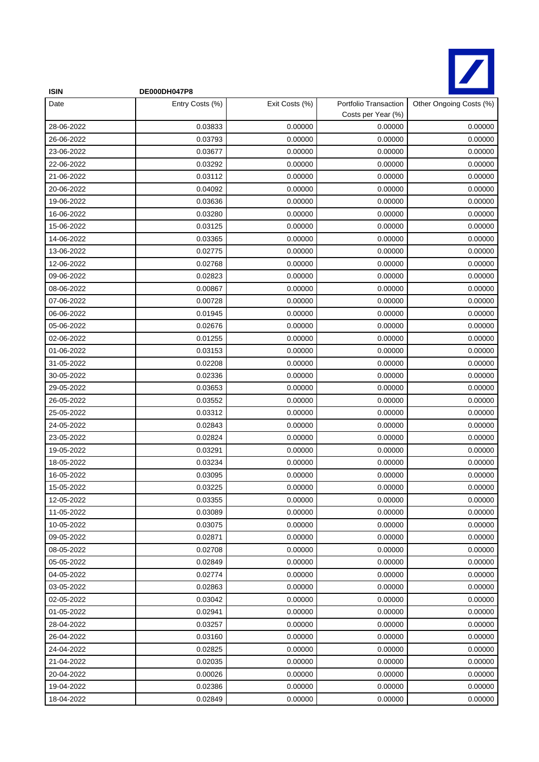

| <b>ISIN</b> | DE000DH047P8    |                |                                             |                         |
|-------------|-----------------|----------------|---------------------------------------------|-------------------------|
| Date        | Entry Costs (%) | Exit Costs (%) | Portfolio Transaction<br>Costs per Year (%) | Other Ongoing Costs (%) |
| 28-06-2022  | 0.03833         | 0.00000        | 0.00000                                     | 0.00000                 |
| 26-06-2022  | 0.03793         | 0.00000        | 0.00000                                     | 0.00000                 |
| 23-06-2022  | 0.03677         | 0.00000        | 0.00000                                     | 0.00000                 |
| 22-06-2022  | 0.03292         | 0.00000        | 0.00000                                     | 0.00000                 |
| 21-06-2022  | 0.03112         | 0.00000        | 0.00000                                     | 0.00000                 |
| 20-06-2022  | 0.04092         | 0.00000        | 0.00000                                     | 0.00000                 |
| 19-06-2022  | 0.03636         | 0.00000        | 0.00000                                     | 0.00000                 |
| 16-06-2022  | 0.03280         | 0.00000        | 0.00000                                     | 0.00000                 |
| 15-06-2022  | 0.03125         | 0.00000        | 0.00000                                     | 0.00000                 |
| 14-06-2022  | 0.03365         | 0.00000        | 0.00000                                     | 0.00000                 |
| 13-06-2022  | 0.02775         | 0.00000        | 0.00000                                     | 0.00000                 |
| 12-06-2022  | 0.02768         | 0.00000        | 0.00000                                     | 0.00000                 |
| 09-06-2022  | 0.02823         | 0.00000        | 0.00000                                     | 0.00000                 |
| 08-06-2022  | 0.00867         | 0.00000        | 0.00000                                     | 0.00000                 |
| 07-06-2022  | 0.00728         | 0.00000        | 0.00000                                     | 0.00000                 |
| 06-06-2022  | 0.01945         | 0.00000        | 0.00000                                     | 0.00000                 |
| 05-06-2022  | 0.02676         | 0.00000        | 0.00000                                     | 0.00000                 |
| 02-06-2022  | 0.01255         | 0.00000        | 0.00000                                     | 0.00000                 |
| 01-06-2022  | 0.03153         | 0.00000        | 0.00000                                     | 0.00000                 |
| 31-05-2022  | 0.02208         | 0.00000        | 0.00000                                     | 0.00000                 |
| 30-05-2022  | 0.02336         | 0.00000        | 0.00000                                     | 0.00000                 |
| 29-05-2022  | 0.03653         | 0.00000        | 0.00000                                     | 0.00000                 |
| 26-05-2022  | 0.03552         | 0.00000        | 0.00000                                     | 0.00000                 |
| 25-05-2022  | 0.03312         | 0.00000        | 0.00000                                     | 0.00000                 |
| 24-05-2022  | 0.02843         | 0.00000        | 0.00000                                     | 0.00000                 |
| 23-05-2022  | 0.02824         | 0.00000        | 0.00000                                     | 0.00000                 |
| 19-05-2022  | 0.03291         | 0.00000        | 0.00000                                     | 0.00000                 |
| 18-05-2022  | 0.03234         | 0.00000        | 0.00000                                     | 0.00000                 |
| 16-05-2022  | 0.03095         | 0.00000        | 0.00000                                     | 0.00000                 |
| 15-05-2022  | 0.03225         | 0.00000        | 0.00000                                     | 0.00000                 |
| 12-05-2022  | 0.03355         | 0.00000        | 0.00000                                     | 0.00000                 |
| 11-05-2022  | 0.03089         | 0.00000        | 0.00000                                     | 0.00000                 |
| 10-05-2022  | 0.03075         | 0.00000        | 0.00000                                     | 0.00000                 |
| 09-05-2022  | 0.02871         | 0.00000        | 0.00000                                     | 0.00000                 |
| 08-05-2022  | 0.02708         | 0.00000        | 0.00000                                     | 0.00000                 |
| 05-05-2022  | 0.02849         | 0.00000        | 0.00000                                     | 0.00000                 |
| 04-05-2022  | 0.02774         | 0.00000        | 0.00000                                     | 0.00000                 |
| 03-05-2022  | 0.02863         | 0.00000        | 0.00000                                     | 0.00000                 |
| 02-05-2022  | 0.03042         | 0.00000        | 0.00000                                     | 0.00000                 |
| 01-05-2022  | 0.02941         | 0.00000        | 0.00000                                     | 0.00000                 |
| 28-04-2022  | 0.03257         | 0.00000        | 0.00000                                     | 0.00000                 |
| 26-04-2022  | 0.03160         | 0.00000        | 0.00000                                     | 0.00000                 |
| 24-04-2022  | 0.02825         | 0.00000        | 0.00000                                     | 0.00000                 |
| 21-04-2022  | 0.02035         | 0.00000        | 0.00000                                     | 0.00000                 |
| 20-04-2022  | 0.00026         | 0.00000        | 0.00000                                     | 0.00000                 |
| 19-04-2022  | 0.02386         | 0.00000        | 0.00000                                     | 0.00000                 |
| 18-04-2022  | 0.02849         | 0.00000        | 0.00000                                     | 0.00000                 |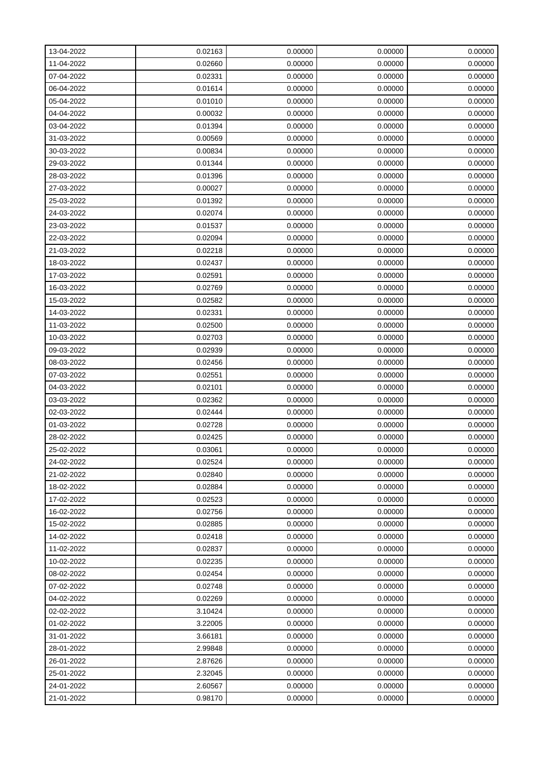| 13-04-2022 | 0.02163 | 0.00000 | 0.00000 | 0.00000 |
|------------|---------|---------|---------|---------|
| 11-04-2022 | 0.02660 | 0.00000 | 0.00000 | 0.00000 |
| 07-04-2022 | 0.02331 | 0.00000 | 0.00000 | 0.00000 |
| 06-04-2022 | 0.01614 | 0.00000 | 0.00000 | 0.00000 |
| 05-04-2022 | 0.01010 | 0.00000 | 0.00000 | 0.00000 |
| 04-04-2022 | 0.00032 | 0.00000 | 0.00000 | 0.00000 |
| 03-04-2022 | 0.01394 | 0.00000 | 0.00000 | 0.00000 |
| 31-03-2022 | 0.00569 | 0.00000 | 0.00000 | 0.00000 |
| 30-03-2022 | 0.00834 | 0.00000 | 0.00000 | 0.00000 |
| 29-03-2022 | 0.01344 | 0.00000 | 0.00000 | 0.00000 |
| 28-03-2022 | 0.01396 | 0.00000 | 0.00000 | 0.00000 |
| 27-03-2022 | 0.00027 | 0.00000 | 0.00000 | 0.00000 |
| 25-03-2022 | 0.01392 | 0.00000 | 0.00000 | 0.00000 |
| 24-03-2022 | 0.02074 | 0.00000 | 0.00000 | 0.00000 |
| 23-03-2022 | 0.01537 | 0.00000 | 0.00000 | 0.00000 |
| 22-03-2022 | 0.02094 | 0.00000 | 0.00000 | 0.00000 |
| 21-03-2022 | 0.02218 | 0.00000 | 0.00000 | 0.00000 |
| 18-03-2022 | 0.02437 | 0.00000 | 0.00000 | 0.00000 |
| 17-03-2022 | 0.02591 | 0.00000 | 0.00000 | 0.00000 |
| 16-03-2022 | 0.02769 | 0.00000 | 0.00000 | 0.00000 |
| 15-03-2022 | 0.02582 | 0.00000 | 0.00000 | 0.00000 |
| 14-03-2022 | 0.02331 | 0.00000 | 0.00000 | 0.00000 |
| 11-03-2022 | 0.02500 | 0.00000 | 0.00000 | 0.00000 |
| 10-03-2022 | 0.02703 | 0.00000 | 0.00000 | 0.00000 |
| 09-03-2022 | 0.02939 | 0.00000 | 0.00000 | 0.00000 |
| 08-03-2022 | 0.02456 | 0.00000 | 0.00000 | 0.00000 |
| 07-03-2022 | 0.02551 | 0.00000 | 0.00000 | 0.00000 |
| 04-03-2022 | 0.02101 | 0.00000 | 0.00000 | 0.00000 |
| 03-03-2022 | 0.02362 | 0.00000 | 0.00000 | 0.00000 |
| 02-03-2022 | 0.02444 | 0.00000 | 0.00000 | 0.00000 |
| 01-03-2022 | 0.02728 | 0.00000 | 0.00000 | 0.00000 |
| 28-02-2022 | 0.02425 | 0.00000 | 0.00000 | 0.00000 |
| 25-02-2022 | 0.03061 | 0.00000 | 0.00000 | 0.00000 |
| 24-02-2022 | 0.02524 | 0.00000 | 0.00000 | 0.00000 |
| 21-02-2022 | 0.02840 | 0.00000 | 0.00000 | 0.00000 |
| 18-02-2022 | 0.02884 | 0.00000 | 0.00000 | 0.00000 |
| 17-02-2022 | 0.02523 | 0.00000 | 0.00000 | 0.00000 |
| 16-02-2022 | 0.02756 | 0.00000 | 0.00000 | 0.00000 |
| 15-02-2022 | 0.02885 | 0.00000 | 0.00000 | 0.00000 |
| 14-02-2022 | 0.02418 | 0.00000 | 0.00000 | 0.00000 |
| 11-02-2022 | 0.02837 | 0.00000 | 0.00000 | 0.00000 |
| 10-02-2022 | 0.02235 | 0.00000 | 0.00000 | 0.00000 |
| 08-02-2022 | 0.02454 | 0.00000 | 0.00000 | 0.00000 |
| 07-02-2022 | 0.02748 | 0.00000 | 0.00000 | 0.00000 |
| 04-02-2022 | 0.02269 | 0.00000 | 0.00000 | 0.00000 |
| 02-02-2022 | 3.10424 | 0.00000 | 0.00000 | 0.00000 |
| 01-02-2022 | 3.22005 | 0.00000 | 0.00000 | 0.00000 |
| 31-01-2022 | 3.66181 | 0.00000 | 0.00000 | 0.00000 |
| 28-01-2022 | 2.99848 | 0.00000 | 0.00000 | 0.00000 |
| 26-01-2022 | 2.87626 | 0.00000 | 0.00000 | 0.00000 |
| 25-01-2022 | 2.32045 | 0.00000 | 0.00000 | 0.00000 |
| 24-01-2022 | 2.60567 | 0.00000 | 0.00000 | 0.00000 |
| 21-01-2022 | 0.98170 | 0.00000 | 0.00000 | 0.00000 |